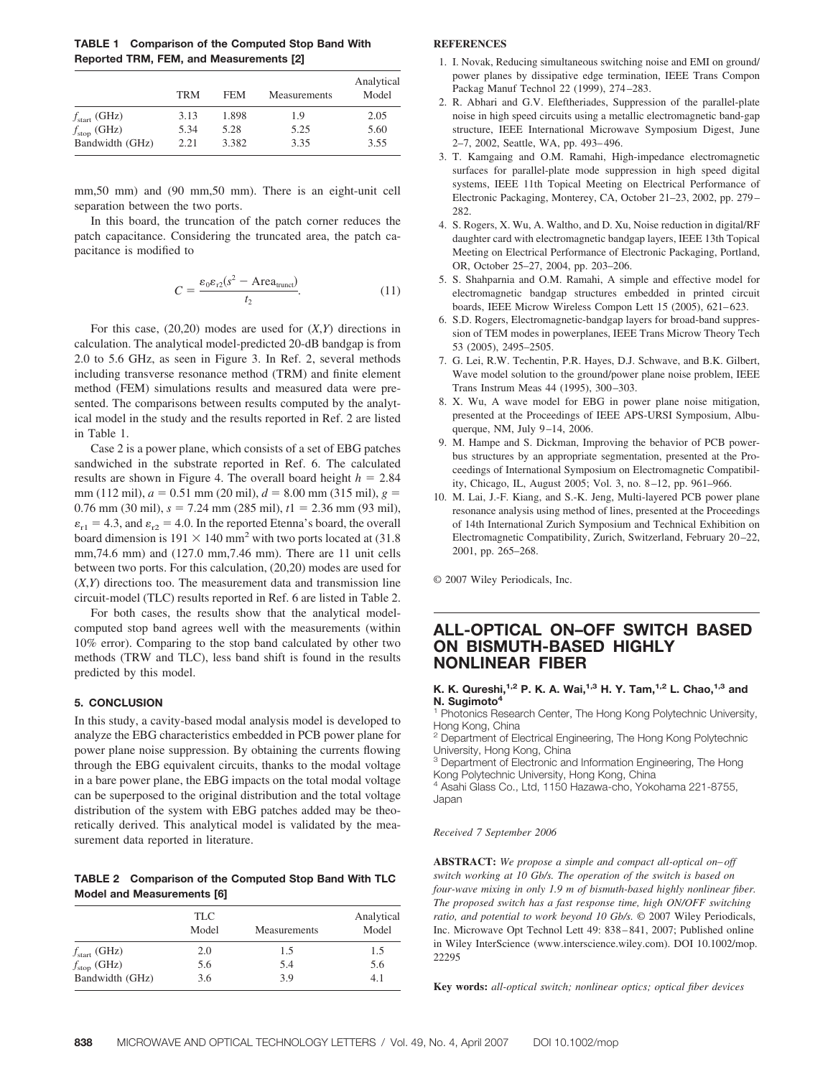**TABLE 1 Comparison of the Computed Stop Band With Reported TRM, FEM, and Measurements [2]**

|                          | <b>TRM</b> | <b>FEM</b> | Measurements | Analytical<br>Model |
|--------------------------|------------|------------|--------------|---------------------|
| $f_{\text{start}}$ (GHz) | 3.13       | 1.898      | 1.9          | 2.05                |
| $f_{\text{stop}}$ (GHz)  | 5.34       | 5.28       | 5.25         | 5.60                |
| Bandwidth (GHz)          | 2.21       | 3.382      | 3.35         | 3.55                |

mm,50 mm) and (90 mm,50 mm). There is an eight-unit cell separation between the two ports.

In this board, the truncation of the patch corner reduces the patch capacitance. Considering the truncated area, the patch capacitance is modified to

$$
C = \frac{\varepsilon_0 \varepsilon_{r2} (s^2 - \text{Area}_{\text{trunct}})}{t_2}.
$$
 (11)

For this case, (20,20) modes are used for (*X*,*Y*) directions in calculation. The analytical model-predicted 20-dB bandgap is from 2.0 to 5.6 GHz, as seen in Figure 3. In Ref. 2, several methods including transverse resonance method (TRM) and finite element method (FEM) simulations results and measured data were presented. The comparisons between results computed by the analytical model in the study and the results reported in Ref. 2 are listed in Table 1.

Case 2 is a power plane, which consists of a set of EBG patches sandwiched in the substrate reported in Ref. 6. The calculated results are shown in Figure 4. The overall board height  $h = 2.84$ mm (112 mil),  $a = 0.51$  mm (20 mil),  $d = 8.00$  mm (315 mil),  $g =$  $0.76$  mm (30 mil),  $s = 7.24$  mm (285 mil),  $t1 = 2.36$  mm (93 mil),  $\varepsilon_{r1} = 4.3$ , and  $\varepsilon_{r2} = 4.0$ . In the reported Etenna's board, the overall board dimension is  $191 \times 140$  mm<sup>2</sup> with two ports located at (31.8) mm,74.6 mm) and (127.0 mm,7.46 mm). There are 11 unit cells between two ports. For this calculation, (20,20) modes are used for (*X*,*Y*) directions too. The measurement data and transmission line circuit-model (TLC) results reported in Ref. 6 are listed in Table 2.

For both cases, the results show that the analytical modelcomputed stop band agrees well with the measurements (within 10% error). Comparing to the stop band calculated by other two methods (TRW and TLC), less band shift is found in the results predicted by this model.

### **5. CONCLUSION**

In this study, a cavity-based modal analysis model is developed to analyze the EBG characteristics embedded in PCB power plane for power plane noise suppression. By obtaining the currents flowing through the EBG equivalent circuits, thanks to the modal voltage in a bare power plane, the EBG impacts on the total modal voltage can be superposed to the original distribution and the total voltage distribution of the system with EBG patches added may be theoretically derived. This analytical model is validated by the measurement data reported in literature.

**TABLE 2 Comparison of the Computed Stop Band With TLC Model and Measurements [6]**

|                          | <b>TLC</b><br>Model | Measurements | Analytical<br>Model |
|--------------------------|---------------------|--------------|---------------------|
| $f_{\text{start}}$ (GHz) | 2.0                 | 1.5          | 1.5                 |
| $f_{\text{stop}}$ (GHz)  | 5.6                 | 5.4          | 5.6                 |
| Bandwidth (GHz)          | 3.6                 | 3.9          | 4.1                 |

# **REFERENCES**

- 1. I. Novak, Reducing simultaneous switching noise and EMI on ground/ power planes by dissipative edge termination, IEEE Trans Compon Packag Manuf Technol 22 (1999), 274 –283.
- 2. R. Abhari and G.V. Eleftheriades, Suppression of the parallel-plate noise in high speed circuits using a metallic electromagnetic band-gap structure, IEEE International Microwave Symposium Digest, June 2–7, 2002, Seattle, WA, pp. 493– 496.
- 3. T. Kamgaing and O.M. Ramahi, High-impedance electromagnetic surfaces for parallel-plate mode suppression in high speed digital systems, IEEE 11th Topical Meeting on Electrical Performance of Electronic Packaging, Monterey, CA, October 21–23, 2002, pp. 279 – 282.
- 4. S. Rogers, X. Wu, A. Waltho, and D. Xu, Noise reduction in digital/RF daughter card with electromagnetic bandgap layers, IEEE 13th Topical Meeting on Electrical Performance of Electronic Packaging, Portland, OR, October 25–27, 2004, pp. 203–206.
- 5. S. Shahparnia and O.M. Ramahi, A simple and effective model for electromagnetic bandgap structures embedded in printed circuit boards, IEEE Microw Wireless Compon Lett 15 (2005), 621-623.
- 6. S.D. Rogers, Electromagnetic-bandgap layers for broad-band suppression of TEM modes in powerplanes, IEEE Trans Microw Theory Tech 53 (2005), 2495–2505.
- 7. G. Lei, R.W. Techentin, P.R. Hayes, D.J. Schwave, and B.K. Gilbert, Wave model solution to the ground/power plane noise problem, IEEE Trans Instrum Meas 44 (1995), 300 –303.
- 8. X. Wu, A wave model for EBG in power plane noise mitigation, presented at the Proceedings of IEEE APS-URSI Symposium, Albuquerque, NM, July 9-14, 2006.
- 9. M. Hampe and S. Dickman, Improving the behavior of PCB powerbus structures by an appropriate segmentation, presented at the Proceedings of International Symposium on Electromagnetic Compatibility, Chicago, IL, August 2005; Vol. 3, no. 8 –12, pp. 961–966.
- 10. M. Lai, J.-F. Kiang, and S.-K. Jeng, Multi-layered PCB power plane resonance analysis using method of lines, presented at the Proceedings of 14th International Zurich Symposium and Technical Exhibition on Electromagnetic Compatibility, Zurich, Switzerland, February 20 –22, 2001, pp. 265–268.

© 2007 Wiley Periodicals, Inc.

# **ALL-OPTICAL ON–OFF SWITCH BASED ON BISMUTH-BASED HIGHLY NONLINEAR FIBER**

### **K. K. Qureshi,**<sup>1,2</sup> **P. K. A. Wai,**<sup>1,3</sup> **H. Y. Tam,**<sup>1,2</sup> **L. Chao,**<sup>1,3</sup> and **N. Sugimoto4**

<sup>1</sup> Photonics Research Center, The Hong Kong Polytechnic University, Hong Kong, China

<sup>2</sup> Department of Electrical Engineering, The Hong Kong Polytechnic University, Hong Kong, China

<sup>3</sup> Department of Electronic and Information Engineering, The Hong Kong Polytechnic University, Hong Kong, China

<sup>4</sup> Asahi Glass Co., Ltd, 1150 Hazawa-cho, Yokohama 221-8755, Japan

#### *Received 7 September 2006*

**ABSTRACT:** We propose a simple and compact all-optical on–off *switch working at 10 Gb/s. The operation of the switch is based on four-wave mixing in only 1.9 m of bismuth-based highly nonlinear fiber. The proposed switch has a fast response time, high ON/OFF switching ratio, and potential to work beyond 10 Gb/s.* © 2007 Wiley Periodicals, Inc. Microwave Opt Technol Lett 49: 838 – 841, 2007; Published online in Wiley InterScience (www.interscience.wiley.com). DOI 10.1002/mop. 22295

**Key words:** *all-optical switch; nonlinear optics; optical fiber devices*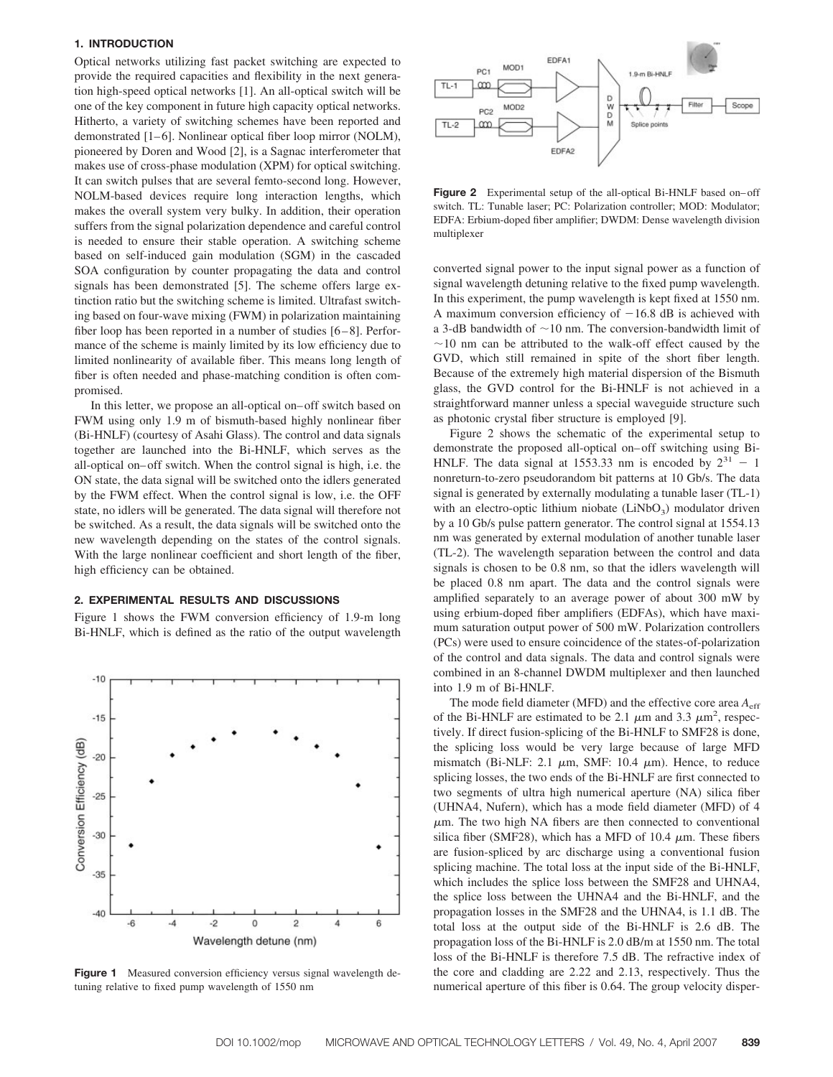# **1. INTRODUCTION**

Optical networks utilizing fast packet switching are expected to provide the required capacities and flexibility in the next generation high-speed optical networks [1]. An all-optical switch will be one of the key component in future high capacity optical networks. Hitherto, a variety of switching schemes have been reported and demonstrated [1–6]. Nonlinear optical fiber loop mirror (NOLM), pioneered by Doren and Wood [2], is a Sagnac interferometer that makes use of cross-phase modulation (XPM) for optical switching. It can switch pulses that are several femto-second long. However, NOLM-based devices require long interaction lengths, which makes the overall system very bulky. In addition, their operation suffers from the signal polarization dependence and careful control is needed to ensure their stable operation. A switching scheme based on self-induced gain modulation (SGM) in the cascaded SOA configuration by counter propagating the data and control signals has been demonstrated [5]. The scheme offers large extinction ratio but the switching scheme is limited. Ultrafast switching based on four-wave mixing (FWM) in polarization maintaining fiber loop has been reported in a number of studies  $[6-8]$ . Performance of the scheme is mainly limited by its low efficiency due to limited nonlinearity of available fiber. This means long length of fiber is often needed and phase-matching condition is often compromised.

In this letter, we propose an all-optical on– off switch based on FWM using only 1.9 m of bismuth-based highly nonlinear fiber (Bi-HNLF) (courtesy of Asahi Glass). The control and data signals together are launched into the Bi-HNLF, which serves as the all-optical on– off switch. When the control signal is high, i.e. the ON state, the data signal will be switched onto the idlers generated by the FWM effect. When the control signal is low, i.e. the OFF state, no idlers will be generated. The data signal will therefore not be switched. As a result, the data signals will be switched onto the new wavelength depending on the states of the control signals. With the large nonlinear coefficient and short length of the fiber, high efficiency can be obtained.

# **2. EXPERIMENTAL RESULTS AND DISCUSSIONS**

Figure 1 shows the FWM conversion efficiency of 1.9-m long Bi-HNLF, which is defined as the ratio of the output wavelength



**Figure 1** Measured conversion efficiency versus signal wavelength detuning relative to fixed pump wavelength of 1550 nm



Figure 2 Experimental setup of the all-optical Bi-HNLF based on–off switch. TL: Tunable laser; PC: Polarization controller; MOD: Modulator; EDFA: Erbium-doped fiber amplifier; DWDM: Dense wavelength division multiplexer

converted signal power to the input signal power as a function of signal wavelength detuning relative to the fixed pump wavelength. In this experiment, the pump wavelength is kept fixed at 1550 nm. A maximum conversion efficiency of  $-16.8$  dB is achieved with a 3-dB bandwidth of  $\sim$  10 nm. The conversion-bandwidth limit of  $\sim$ 10 nm can be attributed to the walk-off effect caused by the GVD, which still remained in spite of the short fiber length. Because of the extremely high material dispersion of the Bismuth glass, the GVD control for the Bi-HNLF is not achieved in a straightforward manner unless a special waveguide structure such as photonic crystal fiber structure is employed [9].

Figure 2 shows the schematic of the experimental setup to demonstrate the proposed all-optical on– off switching using Bi-HNLF. The data signal at 1553.33 nm is encoded by  $2^{31} - 1$ nonreturn-to-zero pseudorandom bit patterns at 10 Gb/s. The data signal is generated by externally modulating a tunable laser (TL-1) with an electro-optic lithium niobate  $(LiNbO<sub>3</sub>)$  modulator driven by a 10 Gb/s pulse pattern generator. The control signal at 1554.13 nm was generated by external modulation of another tunable laser (TL-2). The wavelength separation between the control and data signals is chosen to be 0.8 nm, so that the idlers wavelength will be placed 0.8 nm apart. The data and the control signals were amplified separately to an average power of about 300 mW by using erbium-doped fiber amplifiers (EDFAs), which have maximum saturation output power of 500 mW. Polarization controllers (PCs) were used to ensure coincidence of the states-of-polarization of the control and data signals. The data and control signals were combined in an 8-channel DWDM multiplexer and then launched into 1.9 m of Bi-HNLF.

The mode field diameter (MFD) and the effective core area  $A<sub>eff</sub>$ of the Bi-HNLF are estimated to be 2.1  $\mu$ m and 3.3  $\mu$ m<sup>2</sup>, respectively. If direct fusion-splicing of the Bi-HNLF to SMF28 is done, the splicing loss would be very large because of large MFD mismatch (Bi-NLF: 2.1  $\mu$ m, SMF: 10.4  $\mu$ m). Hence, to reduce splicing losses, the two ends of the Bi-HNLF are first connected to two segments of ultra high numerical aperture (NA) silica fiber (UHNA4, Nufern), which has a mode field diameter (MFD) of 4  $\mu$ m. The two high NA fibers are then connected to conventional silica fiber (SMF28), which has a MFD of 10.4  $\mu$ m. These fibers are fusion-spliced by arc discharge using a conventional fusion splicing machine. The total loss at the input side of the Bi-HNLF, which includes the splice loss between the SMF28 and UHNA4, the splice loss between the UHNA4 and the Bi-HNLF, and the propagation losses in the SMF28 and the UHNA4, is 1.1 dB. The total loss at the output side of the Bi-HNLF is 2.6 dB. The propagation loss of the Bi-HNLF is 2.0 dB/m at 1550 nm. The total loss of the Bi-HNLF is therefore 7.5 dB. The refractive index of the core and cladding are 2.22 and 2.13, respectively. Thus the numerical aperture of this fiber is 0.64. The group velocity disper-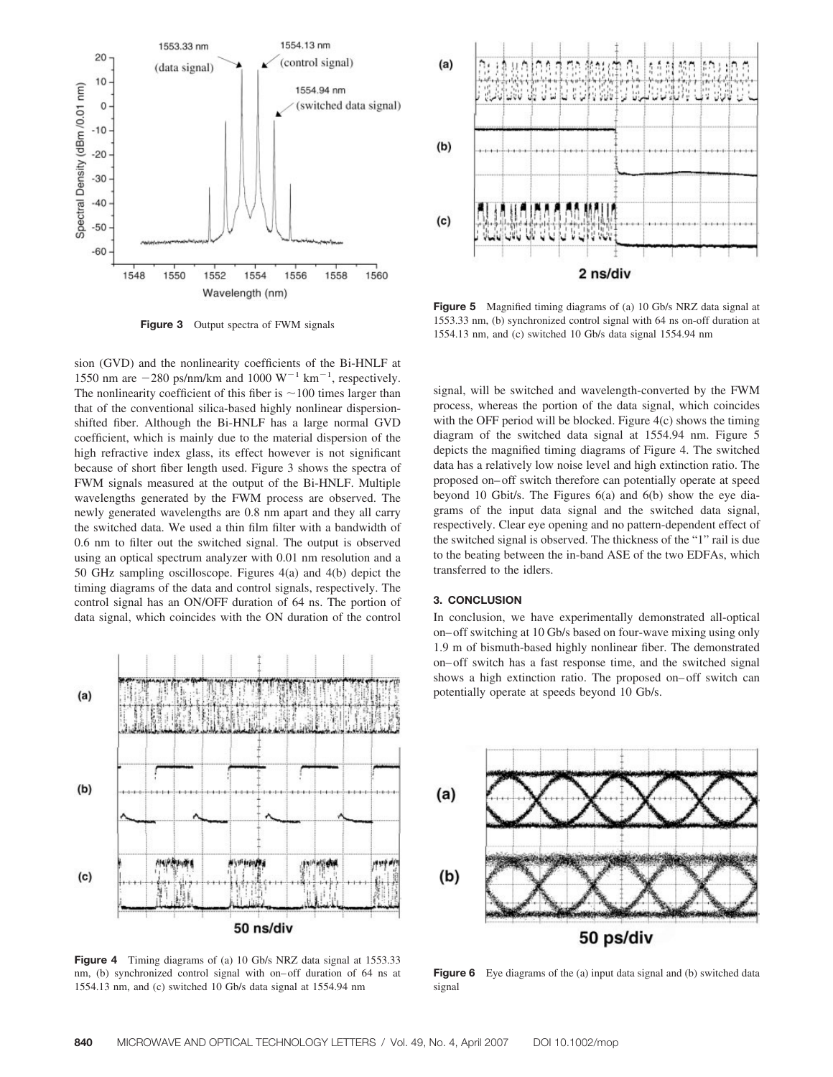

**Figure 3** Output spectra of FWM signals

sion (GVD) and the nonlinearity coefficients of the Bi-HNLF at 1550 nm are  $-280$  ps/nm/km and 1000  $W^{-1}$  km<sup>-1</sup>, respectively. The nonlinearity coefficient of this fiber is  $\sim$  100 times larger than that of the conventional silica-based highly nonlinear dispersionshifted fiber. Although the Bi-HNLF has a large normal GVD coefficient, which is mainly due to the material dispersion of the high refractive index glass, its effect however is not significant because of short fiber length used. Figure 3 shows the spectra of FWM signals measured at the output of the Bi-HNLF. Multiple wavelengths generated by the FWM process are observed. The newly generated wavelengths are 0.8 nm apart and they all carry the switched data. We used a thin film filter with a bandwidth of 0.6 nm to filter out the switched signal. The output is observed using an optical spectrum analyzer with 0.01 nm resolution and a 50 GHz sampling oscilloscope. Figures 4(a) and 4(b) depict the timing diagrams of the data and control signals, respectively. The control signal has an ON/OFF duration of 64 ns. The portion of data signal, which coincides with the ON duration of the control



**Figure 4** Timing diagrams of (a) 10 Gb/s NRZ data signal at 1553.33 nm, (b) synchronized control signal with on– off duration of 64 ns at 1554.13 nm, and (c) switched 10 Gb/s data signal at 1554.94 nm



**Figure 5** Magnified timing diagrams of (a) 10 Gb/s NRZ data signal at 1553.33 nm, (b) synchronized control signal with 64 ns on-off duration at 1554.13 nm, and (c) switched 10 Gb/s data signal 1554.94 nm

signal, will be switched and wavelength-converted by the FWM process, whereas the portion of the data signal, which coincides with the OFF period will be blocked. Figure 4(c) shows the timing diagram of the switched data signal at 1554.94 nm. Figure 5 depicts the magnified timing diagrams of Figure 4. The switched data has a relatively low noise level and high extinction ratio. The proposed on– off switch therefore can potentially operate at speed beyond 10 Gbit/s. The Figures 6(a) and 6(b) show the eye diagrams of the input data signal and the switched data signal, respectively. Clear eye opening and no pattern-dependent effect of the switched signal is observed. The thickness of the "1" rail is due to the beating between the in-band ASE of the two EDFAs, which transferred to the idlers.

# **3. CONCLUSION**

In conclusion, we have experimentally demonstrated all-optical on– off switching at 10 Gb/s based on four-wave mixing using only 1.9 m of bismuth-based highly nonlinear fiber. The demonstrated on– off switch has a fast response time, and the switched signal shows a high extinction ratio. The proposed on– off switch can potentially operate at speeds beyond 10 Gb/s.



**Figure 6** Eye diagrams of the (a) input data signal and (b) switched data signal